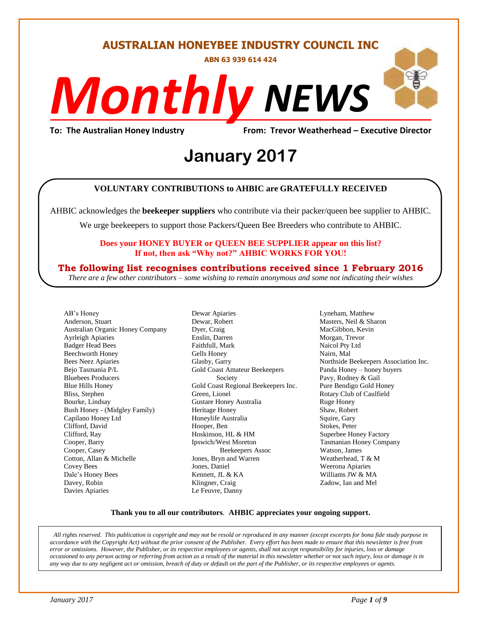**AUSTRALIAN HONEYBEE INDUSTRY COUNCIL INC**

**ABN 63 939 614 424**

# *NEWS Monthly*

**To: The Australian Honey Industry From: Trevor Weatherhead – Executive Director**

## *DS* **January 2017**

#### **VOLUNTARY CONTRIBUTIONS to AHBIC are GRATEFULLY RECEIVED**

AHBIC acknowledges the **beekeeper suppliers** who contribute via their packer/queen bee supplier to AHBIC.

We urge beekeepers to support those Packers/Queen Bee Breeders who contribute to AHBIC.

#### **Does your HONEY BUYER or QUEEN BEE SUPPLIER appear on this list? If not, then ask "Why not?" AHBIC WORKS FOR YOU!**

#### **The following list recognises contributions received since 1 February 2016**

*There are a few other contributors – some wishing to remain anonymous and some not indicating their wishes*

AB's Honey Anderson, Stuart Australian Organic Honey Company Ayrleigh Apiaries Badger Head Bees Beechworth Honey Bees Neez Apiaries Bejo Tasmania P/L Bluebees Producers Blue Hills Honey Bliss, Stephen Bourke, Lindsay Bush Honey - (Midgley Family) Capilano Honey Ltd Clifford, David Clifford, Ray Cooper, Barry Cooper, Casey Cotton, Allan & Michelle Covey Bees Dale's Honey Bees Davey, Robin Davies Apiaries

Dewar Apiaries Dewar, Robert Dyer, Craig Enslin, Darren Faithfull, Mark Gells Honey Glasby, Garry Gold Coast Amateur Beekeepers Society Gold Coast Regional Beekeepers Inc. Green, Lionel Gustare Honey Australia Heritage Honey Honeylife Australia Hooper, Ben Hoskinson, HL & HM Ipswich/West Moreton Beekeepers Assoc Jones, Bryn and Warren Jones, Daniel Kennett, JL & KA Klingner, Craig Le Feuvre, Danny

Lyneham, Matthew Masters, Neil & Sharon MacGibbon, Kevin Morgan, Trevor Naicol Pty Ltd Nairn, Mal Northside Beekeepers Association Inc. Panda Honey – honey buyers Pavy, Rodney & Gail Pure Bendigo Gold Honey Rotary Club of Caulfield Ruge Honey Shaw, Robert Squire, Gary Stokes, Peter Superbee Honey Factory Tasmanian Honey Company Watson, James Weatherhead, T & M Weerona Apiaries Williams JW & MA Zadow, Ian and Mel

#### **Thank you to all our contributors***.* **AHBIC appreciates your ongoing support.**

*All rights reserved. This publication is copyright and may not be resold or reproduced in any manner (except excerpts for bona fide study purpose in accordance with the Copyright Act) without the prior consent of the Publisher. Every effort has been made to ensure that this newsletter is free from error or omissions. However, the Publisher, or its respective employees or agents, shall not accept responsibility for injuries, loss or damage occasioned to any person acting or referring from action as a result of the material in this newsletter whether or not such injury, loss or damage is in any way due to any negligent act or omission, breach of duty or default on the part of the Publisher, or its respective employees or agents.*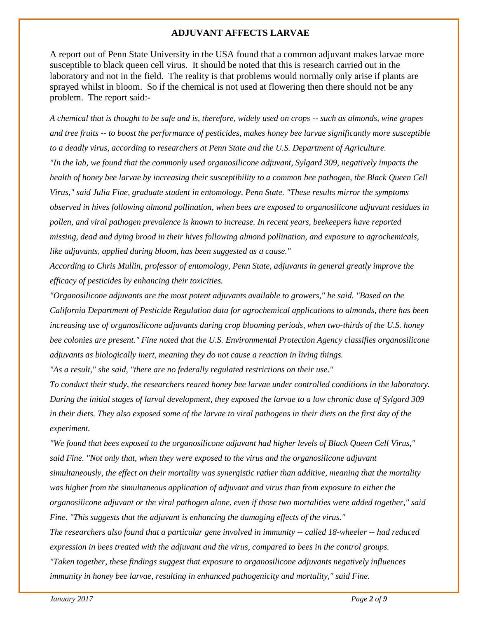#### **ADJUVANT AFFECTS LARVAE**

A report out of Penn State University in the USA found that a common adjuvant makes larvae more susceptible to black queen cell virus. It should be noted that this is research carried out in the laboratory and not in the field. The reality is that problems would normally only arise if plants are sprayed whilst in bloom. So if the chemical is not used at flowering then there should not be any problem. The report said:-

*A chemical that is thought to be safe and is, therefore, widely used on crops -- such as almonds, wine grapes and tree fruits -- to boost the performance of pesticides, makes honey bee larvae significantly more susceptible to a deadly virus, according to researchers at Penn State and the U.S. Department of Agriculture. "In the lab, we found that the commonly used organosilicone adjuvant, Sylgard 309, negatively impacts the health of honey bee larvae by increasing their susceptibility to a common bee pathogen, the Black Queen Cell Virus," said Julia Fine, graduate student in entomology, Penn State. "These results mirror the symptoms observed in hives following almond pollination, when bees are exposed to organosilicone adjuvant residues in pollen, and viral pathogen prevalence is known to increase. In recent years, beekeepers have reported missing, dead and dying brood in their hives following almond pollination, and exposure to agrochemicals, like adjuvants, applied during bloom, has been suggested as a cause."*

*According to Chris Mullin, professor of entomology, Penn State, adjuvants in general greatly improve the efficacy of pesticides by enhancing their toxicities.*

*"Organosilicone adjuvants are the most potent adjuvants available to growers," he said. "Based on the California Department of Pesticide Regulation data for agrochemical applications to almonds, there has been increasing use of organosilicone adjuvants during crop blooming periods, when two-thirds of the U.S. honey bee colonies are present." Fine noted that the U.S. Environmental Protection Agency classifies organosilicone adjuvants as biologically inert, meaning they do not cause a reaction in living things.*

*"As a result," she said, "there are no federally regulated restrictions on their use."*

*To conduct their study, the researchers reared honey bee larvae under controlled conditions in the laboratory. During the initial stages of larval development, they exposed the larvae to a low chronic dose of Sylgard 309 in their diets. They also exposed some of the larvae to viral pathogens in their diets on the first day of the experiment.*

*"We found that bees exposed to the organosilicone adjuvant had higher levels of Black Queen Cell Virus," said Fine. "Not only that, when they were exposed to the virus and the organosilicone adjuvant simultaneously, the effect on their mortality was synergistic rather than additive, meaning that the mortality was higher from the simultaneous application of adjuvant and virus than from exposure to either the organosilicone adjuvant or the viral pathogen alone, even if those two mortalities were added together," said Fine. "This suggests that the adjuvant is enhancing the damaging effects of the virus." The researchers also found that a particular gene involved in immunity -- called 18-wheeler -- had reduced expression in bees treated with the adjuvant and the virus, compared to bees in the control groups. "Taken together, these findings suggest that exposure to organosilicone adjuvants negatively influences* 

*immunity in honey bee larvae, resulting in enhanced pathogenicity and mortality," said Fine.*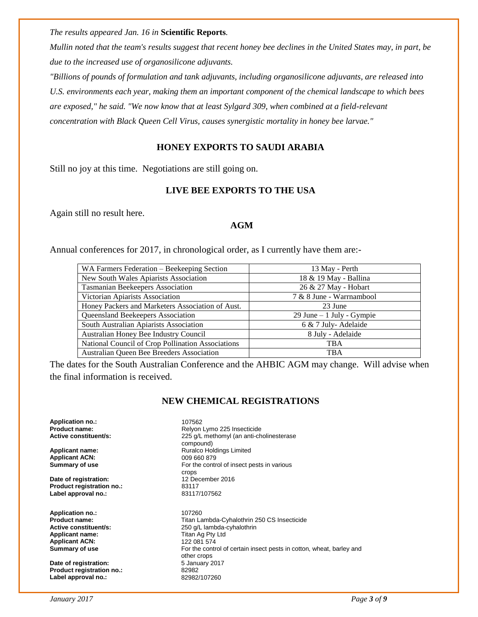*The results appeared Jan. 16 in* **Scientific Reports***.*

*Mullin noted that the team's results suggest that recent honey bee declines in the United States may, in part, be due to the increased use of organosilicone adjuvants.*

*"Billions of pounds of formulation and tank adjuvants, including organosilicone adjuvants, are released into U.S. environments each year, making them an important component of the chemical landscape to which bees are exposed," he said. "We now know that at least Sylgard 309, when combined at a field-relevant concentration with Black Queen Cell Virus, causes synergistic mortality in honey bee larvae."*

#### **HONEY EXPORTS TO SAUDI ARABIA**

Still no joy at this time. Negotiations are still going on.

#### **LIVE BEE EXPORTS TO THE USA**

Again still no result here.

#### **AGM**

Annual conferences for 2017, in chronological order, as I currently have them are:-

| WA Farmers Federation – Beekeeping Section        | 13 May - Perth               |
|---------------------------------------------------|------------------------------|
| New South Wales Apiarists Association             | 18 & 19 May - Ballina        |
| Tasmanian Beekeepers Association                  | 26 & 27 May - Hobart         |
| Victorian Apiarists Association                   | 7 & 8 June - Warrnambool     |
| Honey Packers and Marketers Association of Aust.  | 23 June                      |
| Queensland Beekeepers Association                 | $29$ June $-1$ July - Gympie |
| South Australian Apiarists Association            | 6 & 7 July-Adelaide          |
| Australian Honey Bee Industry Council             | 8 July - Adelaide            |
| National Council of Crop Pollination Associations | <b>TBA</b>                   |
| Australian Queen Bee Breeders Association         | <b>TBA</b>                   |

The dates for the South Australian Conference and the AHBIC AGM may change. Will advise when the final information is received.

#### **NEW CHEMICAL REGISTRATIONS**

**Application no.:** 107562

**Applicant ACN:** 009 660 879<br> **Summary of use** 6 60 879

**Date of registration:** 12 December 2016 **Product registration no.:** 83117<br>
Label approval no.: 83117/107562 **Label approval no.:** 

**Application no.:** 107260 **Applicant ACN:** 122 081 574

**Date of registration:** 5 January 2017 **Product registration no.:** 82982 **Label approval no.:** 82982/107260

**Product name: Relyon Lymo 225 Insecticide**<br> **Active constituent/s:** 225 g/L methomyl (an anti-ch 225 g/L methomyl (an anti-cholinesterase compound) Applicant name: **Applicant name: Ruralco Holdings Limited** For the control of insect pests in various crops

**Product name: Product name: Product name: Product name: Active constituent/s: Product name:** 250 g/L lambda-cyhalothrin 250 CS Insecticide **Active constituent/s:** <br> **Applicant name:** <br> **Applicant name:** <br> **Complicant name:** <br> **Complicant name:** <br> **Complicant in the Complicant of Titan Ag Pty Ltd Titan Ag Pty Ltd Summary of use <b>For the control of certain insect pests in cotton**, wheat, barley and other crops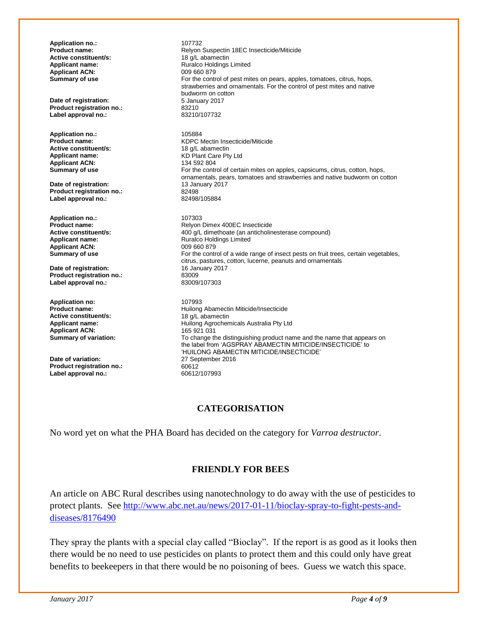**Application no.:** 2007/107732<br> **Product name:** 2008 Relyon Relyon Suspectin 18EC Insecticide/Miticide<br>18 a/L abamectin **Active constituent/s: Applicant name:** <br> **Applicant ACN:** <br> **Applicant ACN:** <br> **Applicant ACN:** <br> **Applicant ACN:** <br> **Applicant ACN:** <br> **Applicant ACN:** <br> **Applicant ACN:** <br> **Applicant ACN:** <br> **Applicant ACN:** <br> **Applicant ACN:** <br> **Applicant A Applicant ACN:**<br>Summary of use For the control of pest mites on pears, apples, tomatoes, citrus, hops, strawberries and ornamentals. For the control of pest mites and native budworm on cotton **Date of registration:** 5 January 2017<br> **Product registration no.:** 83210 **Product registration no.:** 83210<br>
Label approval no.: 83210/107732 **Label approval no.: Application no.:** 205884<br>**Product name:** 2012 2022 2022 2023 KDPC Mectin Insecticide/Miticide<br>18 g/L abamectin **Active constituent/s:**<br>Applicant name: KD Plant Care Pty Ltd<br>134 592 804 **Applicant ACN: Summary of use For the control of certain mites on apples, capsicums, citrus, cotton, hops,** ornamentals, pears, tomatoes and strawberries and native budworm on cotton **Date of registration: 13 January 2017**<br> **Product registration no.:** 82498 Product registration no.: 82498<br>
Label approval no.: 82498/105884 Label approval no.: **Application no.:** 107303<br> **Product name:** Relyon **Product name: Relyon Dimex 400EC Insecticide**<br>**Active constituent/s:** 400 g/L dimethoate (an anticholin **Active constituent/s:** <br>**Applicant name:** <br>**Applicant name:** <br>**Applicant name:** <br>**Applicant name:** <br>**Alternative Ruralco Holdings Limited Applicant name:** Ruralco Holdings Limited **Applicant ACN:** 009 660 879<br> **Summary of use** For the contr For the control of a wide range of insect pests on fruit trees, certain vegetables, citrus, pastures, cotton, lucerne, peanuts and ornamentals **Date of registration:** 16 January 2017 **Product registration no.:** 83009<br> **Label approval no.:** 83009/107303 **Label approval no.: Application no:** 2007993<br>**Product name:** 2008 Thuilong **Huilong Abamectin Miticide/Insecticide Active constituent/s:** 18 g/L abamectin<br> **Applicant name:** 1991 Huilong Agrocher Huilong Agrochemicals Australia Pty Ltd<br>165 921 031 **Applicant ACN:**<br>**Summary of variation:** To change the distinguishing product name and the name that appears on the label from 'AGSPRAY ABAMECTIN MITICIDE/INSECTICIDE' to 'HUILONG ABAMECTIN MITICIDE/INSECTICIDE' **Date of variation:** 27 September 2016<br> **Product registration no.:** 60612 **Product registration no.: Label approval no.:** 60612/107993

#### **CATEGORISATION**

No word yet on what the PHA Board has decided on the category for *Varroa destructor*.

#### **FRIENDLY FOR BEES**

An article on ABC Rural describes using nanotechnology to do away with the use of pesticides to protect plants. See [http://www.abc.net.au/news/2017-01-11/bioclay-spray-to-fight-pests-and](http://www.abc.net.au/news/2017-01-11/bioclay-spray-to-fight-pests-and-diseases/8176490)[diseases/8176490](http://www.abc.net.au/news/2017-01-11/bioclay-spray-to-fight-pests-and-diseases/8176490)

They spray the plants with a special clay called "Bioclay". If the report is as good as it looks then there would be no need to use pesticides on plants to protect them and this could only have great benefits to beekeepers in that there would be no poisoning of bees. Guess we watch this space.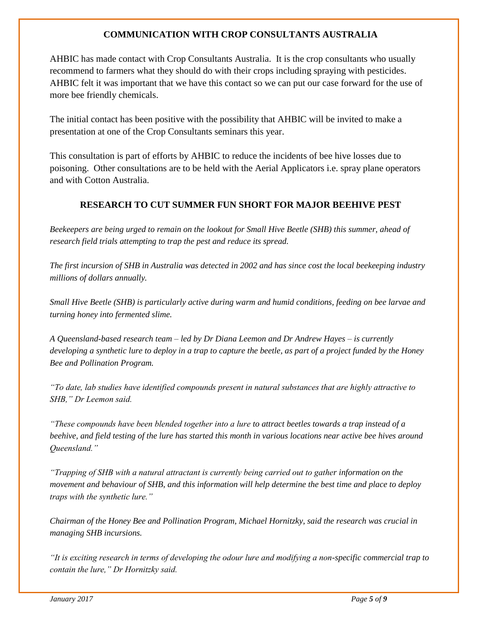#### **COMMUNICATION WITH CROP CONSULTANTS AUSTRALIA**

AHBIC has made contact with Crop Consultants Australia. It is the crop consultants who usually recommend to farmers what they should do with their crops including spraying with pesticides. AHBIC felt it was important that we have this contact so we can put our case forward for the use of more bee friendly chemicals.

The initial contact has been positive with the possibility that AHBIC will be invited to make a presentation at one of the Crop Consultants seminars this year.

This consultation is part of efforts by AHBIC to reduce the incidents of bee hive losses due to poisoning. Other consultations are to be held with the Aerial Applicators i.e. spray plane operators and with Cotton Australia.

#### **RESEARCH TO CUT SUMMER FUN SHORT FOR MAJOR BEEHIVE PEST**

*Beekeepers are being urged to remain on the lookout for Small Hive Beetle (SHB) this summer, ahead of research field trials attempting to trap the pest and reduce its spread.*

*The first incursion of SHB in Australia was detected in 2002 and has since cost the local beekeeping industry millions of dollars annually.*

*Small Hive Beetle (SHB) is particularly active during warm and humid conditions, feeding on bee larvae and turning honey into fermented slime.* 

*A Queensland-based research team – led by Dr Diana Leemon and Dr Andrew Hayes – is currently developing a synthetic lure to deploy in a trap to capture the beetle, as part of a project funded by the Honey Bee and Pollination Program.*

*"To date, lab studies have identified compounds present in natural substances that are highly attractive to SHB," Dr Leemon said.*

*"These compounds have been blended together into a lure to attract beetles towards a trap instead of a beehive, and field testing of the lure has started this month in various locations near active bee hives around Queensland."*

*"Trapping of SHB with a natural attractant is currently being carried out to gather information on the movement and behaviour of SHB, and this information will help determine the best time and place to deploy traps with the synthetic lure."*

*Chairman of the Honey Bee and Pollination Program, Michael Hornitzky, said the research was crucial in managing SHB incursions.*

*"It is exciting research in terms of developing the odour lure and modifying a non-specific commercial trap to contain the lure," Dr Hornitzky said.*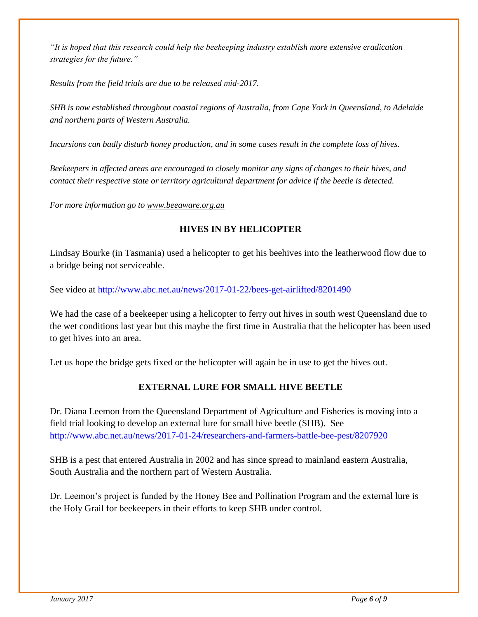*"It is hoped that this research could help the beekeeping industry establish more extensive eradication strategies for the future."*

*Results from the field trials are due to be released mid-2017.*

*SHB is now established throughout coastal regions of Australia, from Cape York in Queensland, to Adelaide and northern parts of Western Australia.*

*Incursions can badly disturb honey production, and in some cases result in the complete loss of hives.*

*Beekeepers in affected areas are encouraged to closely monitor any signs of changes to their hives, and contact their respective state or territory agricultural department for advice if the beetle is detected.*

*For more information go to [www.beeaware.org.au](http://coxinall.us7.list-manage.com/track/click?u=87f4462512400a53a67349d86&id=6abdebfd12&e=99278a1f2d)*

#### **HIVES IN BY HELICOPTER**

Lindsay Bourke (in Tasmania) used a helicopter to get his beehives into the leatherwood flow due to a bridge being not serviceable.

See video at<http://www.abc.net.au/news/2017-01-22/bees-get-airlifted/8201490>

We had the case of a beekeeper using a helicopter to ferry out hives in south west Queensland due to the wet conditions last year but this maybe the first time in Australia that the helicopter has been used to get hives into an area.

Let us hope the bridge gets fixed or the helicopter will again be in use to get the hives out.

#### **EXTERNAL LURE FOR SMALL HIVE BEETLE**

Dr. Diana Leemon from the Queensland Department of Agriculture and Fisheries is moving into a field trial looking to develop an external lure for small hive beetle (SHB). See <http://www.abc.net.au/news/2017-01-24/researchers-and-farmers-battle-bee-pest/8207920>

SHB is a pest that entered Australia in 2002 and has since spread to mainland eastern Australia, South Australia and the northern part of Western Australia.

Dr. Leemon's project is funded by the Honey Bee and Pollination Program and the external lure is the Holy Grail for beekeepers in their efforts to keep SHB under control.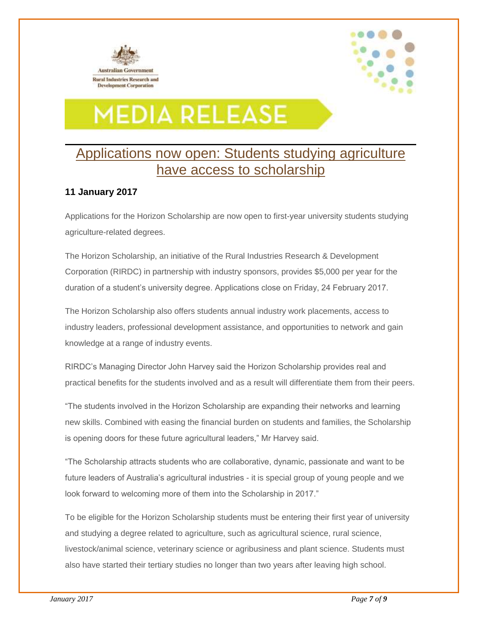



### **MEDIA RELEASE**

#### Applications now open: Students studying agriculture have access to scholarship

#### **11 January 2017**

Applications for the Horizon Scholarship are now open to first-year university students studying agriculture-related degrees.

The Horizon Scholarship, an initiative of the Rural Industries Research & Development Corporation (RIRDC) in partnership with industry sponsors, provides \$5,000 per year for the duration of a student's university degree. Applications close on Friday, 24 February 2017.

The Horizon Scholarship also offers students annual industry work placements, access to industry leaders, professional development assistance, and opportunities to network and gain knowledge at a range of industry events.

RIRDC's Managing Director John Harvey said the Horizon Scholarship provides real and practical benefits for the students involved and as a result will differentiate them from their peers.

"The students involved in the Horizon Scholarship are expanding their networks and learning new skills. Combined with easing the financial burden on students and families, the Scholarship is opening doors for these future agricultural leaders," Mr Harvey said.

"The Scholarship attracts students who are collaborative, dynamic, passionate and want to be future leaders of Australia's agricultural industries - it is special group of young people and we look forward to welcoming more of them into the Scholarship in 2017."

To be eligible for the Horizon Scholarship students must be entering their first year of university and studying a degree related to agriculture, such as agricultural science, rural science, livestock/animal science, veterinary science or agribusiness and plant science. Students must also have started their tertiary studies no longer than two years after leaving high school.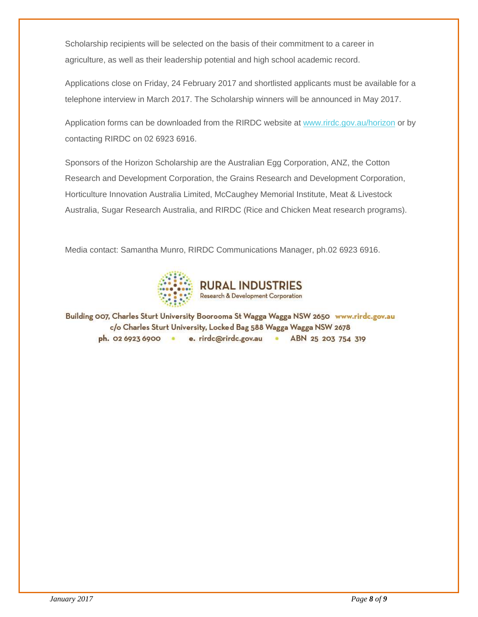Scholarship recipients will be selected on the basis of their commitment to a career in agriculture, as well as their leadership potential and high school academic record.

Applications close on Friday, 24 February 2017 and shortlisted applicants must be available for a telephone interview in March 2017. The Scholarship winners will be announced in May 2017.

Application forms can be downloaded from the RIRDC website at [www.rirdc.gov.au/horizon](http://rirdc.cmail19.com/t/r-l-ykijujkk-dyldkhtlx-t/) or by contacting RIRDC on 02 6923 6916.

Sponsors of the Horizon Scholarship are the Australian Egg Corporation, ANZ, the Cotton Research and Development Corporation, the Grains Research and Development Corporation, Horticulture Innovation Australia Limited, McCaughey Memorial Institute, Meat & Livestock Australia, Sugar Research Australia, and RIRDC (Rice and Chicken Meat research programs).

Media contact: Samantha Munro, RIRDC Communications Manager, ph.02 6923 6916.



Building 007, Charles Sturt University Boorooma St Wagga Wagga NSW 2650 www.rirdc.gov.au c/o Charles Sturt University, Locked Bag 588 Wagga Wagga NSW 2678 ph. 02 6923 6900 · e. rirdc@rirdc.gov.au · ABN 25 203 754 319